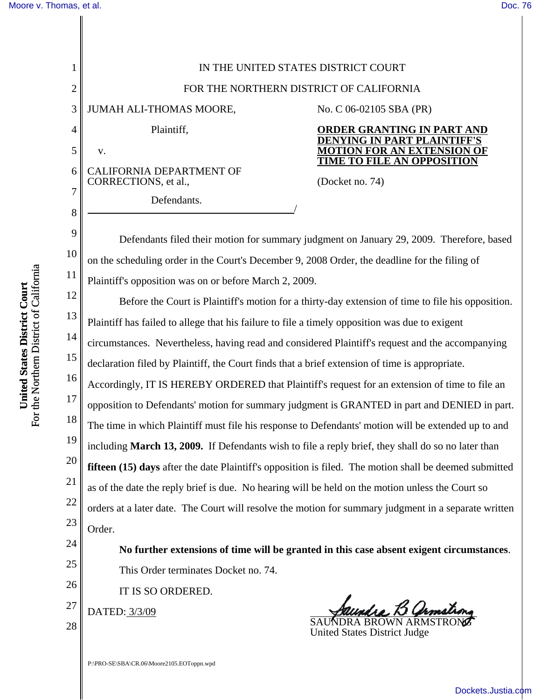1 2 3 4 5 6 7 8 9 10 11 12 13 14 15 16 17 18 19 20 21 22 23 24 25 26 27 28 IN THE UNITED STATES DISTRICT COURT FOR THE NORTHERN DISTRICT OF CALIFORNIA JUMAH ALI-THOMAS MOORE, Plaintiff, v. CALIFORNIA DEPARTMENT OF CORRECTIONS, et al., Defendants. No. C 06-02105 SBA (PR) **ORDER GRANTING IN PART AND DENYING IN PART PLAINTIFF' MOTION FOR AN EXTENSION OF TIME TO FILE AN OPPOSITION** (Docket no. 74) Defendants filed their motion for summary judgment on January 29, 2009. Therefore, based on the scheduling order in the Court's December 9, 2008 Order, the deadline for the filing of Plaintiff's opposition was on or before March 2, 2009. Before the Court is Plaintiff's motion for a thirty-day extension of time to file his opposition. Plaintiff has failed to allege that his failure to file a timely opposition was due to exigent circumstances. Nevertheless, having read and considered Plaintiff's request and the accompanying declaration filed by Plaintiff, the Court finds that a brief extension of time is appropriate. Accordingly, IT IS HEREBY ORDERED that Plaintiff's request for an extension of time to file an opposition to Defendants' motion for summary judgment is GRANTED in part and DENIED in part. The time in which Plaintiff must file his response to Defendants' motion will be extended up to and including **March 13, 2009.** If Defendants wish to file a reply brief, they shall do so no later than **fifteen (15) days** after the date Plaintiff's opposition is filed. The motion shall be deemed submitted as of the date the reply brief is due. No hearing will be held on the motion unless the Court so orders at a later date. The Court will resolve the motion for summary judgment in a separate written Order. **No further extensions of time will be granted in this case absent exigent circumstances**. This Order terminates Docket no. 74. IT IS SO ORDERED. DATED: 3/3/09 SAUNDRA BROWN ARMSTRONG United States District Judge

For the Northern District of California For the Northern District of California United States District Court **United States District Court**

[Dockets.Justia.com](http://dockets.justia.com/)